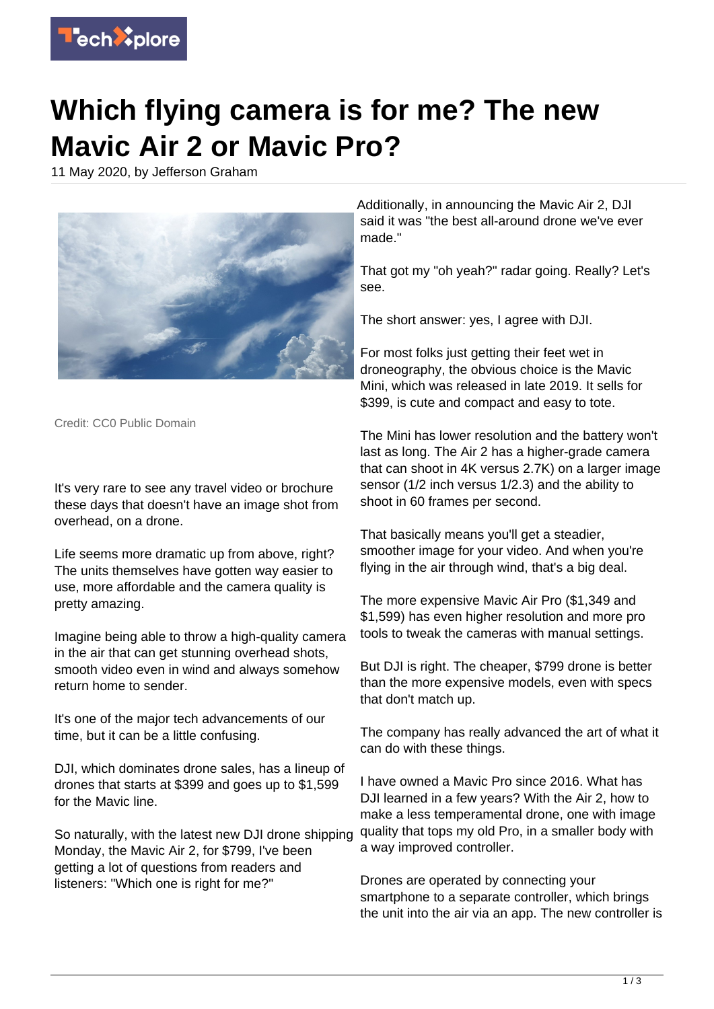

## **Which flying camera is for me? The new Mavic Air 2 or Mavic Pro?**

11 May 2020, by Jefferson Graham



Credit: CC0 Public Domain

It's very rare to see any travel video or brochure these days that doesn't have an image shot from overhead, on a drone.

Life seems more dramatic up from above, right? The units themselves have gotten way easier to use, more affordable and the camera quality is pretty amazing.

Imagine being able to throw a high-quality camera in the air that can get stunning overhead shots, smooth video even in wind and always somehow return home to sender.

It's one of the major tech advancements of our time, but it can be a little confusing.

DJI, which dominates drone sales, has a lineup of drones that starts at \$399 and goes up to \$1,599 for the Mavic line.

So naturally, with the latest new DJI drone shipping Monday, the Mavic Air 2, for \$799, I've been getting a lot of questions from readers and listeners: "Which one is right for me?"

Additionally, in announcing the Mavic Air 2, DJI said it was "the best all-around drone we've ever made."

That got my "oh yeah?" radar going. Really? Let's see.

The short answer: yes, I agree with DJI.

For most folks just getting their feet wet in droneography, the obvious choice is the Mavic Mini, which was released in late 2019. It sells for \$399, is cute and compact and easy to tote.

The Mini has lower resolution and the battery won't last as long. The Air 2 has a higher-grade camera that can shoot in 4K versus 2.7K) on a larger image sensor (1/2 inch versus 1/2.3) and the ability to shoot in 60 frames per second.

That basically means you'll get a steadier, smoother image for your video. And when you're flying in the air through wind, that's a big deal.

The more expensive Mavic Air Pro (\$1,349 and \$1,599) has even higher resolution and more pro tools to tweak the cameras with manual settings.

But DJI is right. The cheaper, \$799 drone is better than the more expensive models, even with specs that don't match up.

The company has really advanced the art of what it can do with these things.

I have owned a Mavic Pro since 2016. What has DJI learned in a few years? With the Air 2, how to make a less temperamental drone, one with image quality that tops my old Pro, in a smaller body with a way improved controller.

Drones are operated by connecting your smartphone to a separate controller, which brings the unit into the air via an app. The new controller is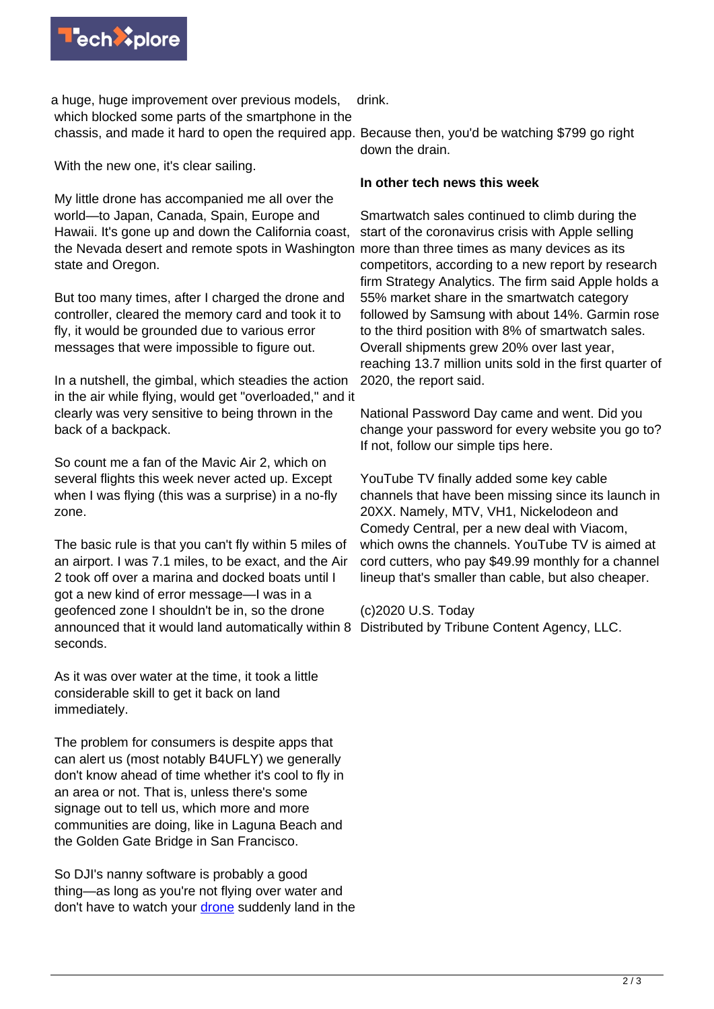

a huge, huge improvement over previous models, which blocked some parts of the smartphone in the chassis, and made it hard to open the required app. Because then, you'd be watching \$799 go right

With the new one, it's clear sailing.

My little drone has accompanied me all over the world—to Japan, Canada, Spain, Europe and Hawaii. It's gone up and down the California coast, the Nevada desert and remote spots in Washington more than three times as many devices as its state and Oregon.

But too many times, after I charged the drone and controller, cleared the memory card and took it to fly, it would be grounded due to various error messages that were impossible to figure out.

In a nutshell, the gimbal, which steadies the action in the air while flying, would get "overloaded," and it clearly was very sensitive to being thrown in the back of a backpack.

So count me a fan of the Mavic Air 2, which on several flights this week never acted up. Except when I was flying (this was a surprise) in a no-fly zone.

The basic rule is that you can't fly within 5 miles of an airport. I was 7.1 miles, to be exact, and the Air 2 took off over a marina and docked boats until I got a new kind of error message—I was in a geofenced zone I shouldn't be in, so the drone announced that it would land automatically within 8 Distributed by Tribune Content Agency, LLC. seconds.

As it was over water at the time, it took a little considerable skill to get it back on land immediately.

The problem for consumers is despite apps that can alert us (most notably B4UFLY) we generally don't know ahead of time whether it's cool to fly in an area or not. That is, unless there's some signage out to tell us, which more and more communities are doing, like in Laguna Beach and the Golden Gate Bridge in San Francisco.

So DJI's nanny software is probably a good thing—as long as you're not flying over water and don't have to watch your [drone](https://techxplore.com/tags/drone/) suddenly land in the

drink.

down the drain.

## **In other tech news this week**

Smartwatch sales continued to climb during the start of the coronavirus crisis with Apple selling competitors, according to a new report by research firm Strategy Analytics. The firm said Apple holds a 55% market share in the smartwatch category followed by Samsung with about 14%. Garmin rose to the third position with 8% of smartwatch sales. Overall shipments grew 20% over last year, reaching 13.7 million units sold in the first quarter of 2020, the report said.

National Password Day came and went. Did you change your password for every website you go to? If not, follow our simple tips here.

YouTube TV finally added some key cable channels that have been missing since its launch in 20XX. Namely, MTV, VH1, Nickelodeon and Comedy Central, per a new deal with Viacom, which owns the channels. YouTube TV is aimed at cord cutters, who pay \$49.99 monthly for a channel lineup that's smaller than cable, but also cheaper.

(c)2020 U.S. Today